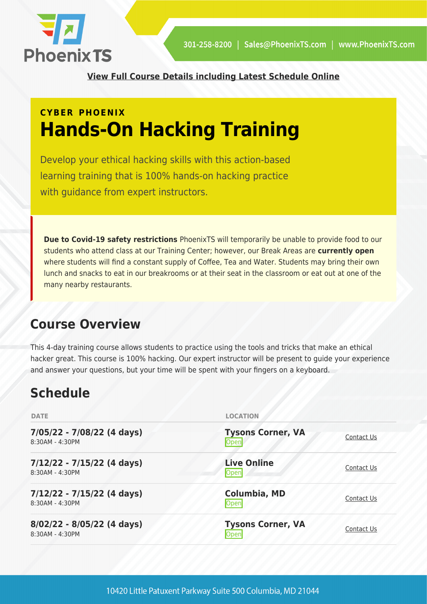

**[View Full Course Details including Latest Schedule Online](https://stage.phoenixts.com/training-courses/hands-on-hacking/)**

# **CYBER PHOENIX Hands-On Hacking Training**

Develop your ethical hacking skills with this action-based learning training that is 100% hands-on hacking practice with quidance from expert instructors.

**Due to Covid-19 safety restrictions** PhoenixTS will temporarily be unable to provide food to our students who attend class at our Training Center; however, our Break Areas are **currently open** where students will find a constant supply of Coffee, Tea and Water. Students may bring their own lunch and snacks to eat in our breakrooms or at their seat in the classroom or eat out at one of the many nearby restaurants.

## **Course Overview**

This 4-day training course allows students to practice using the tools and tricks that make an ethical hacker great. This course is 100% hacking. Our expert instructor will be present to guide your experience and answer your questions, but your time will be spent with your fingers on a keyboard.

## **Schedule**

| <b>DATE</b>                                     | <b>LOCATION</b>                         |            |
|-------------------------------------------------|-----------------------------------------|------------|
| 7/05/22 - 7/08/22 (4 days)<br>8:30AM - 4:30PM   | <b>Tysons Corner, VA</b><br>Open        | Contact Us |
| $7/12/22 - 7/15/22$ (4 days)<br>8:30AM - 4:30PM | <b>Live Online</b><br>Open              | Contact Us |
| $7/12/22 - 7/15/22$ (4 days)<br>8:30AM - 4:30PM | Columbia, MD<br>Open                    | Contact Us |
| 8/02/22 - 8/05/22 (4 days)<br>8:30AM - 4:30PM   | <b>Tysons Corner, VA</b><br><b>Open</b> | Contact Us |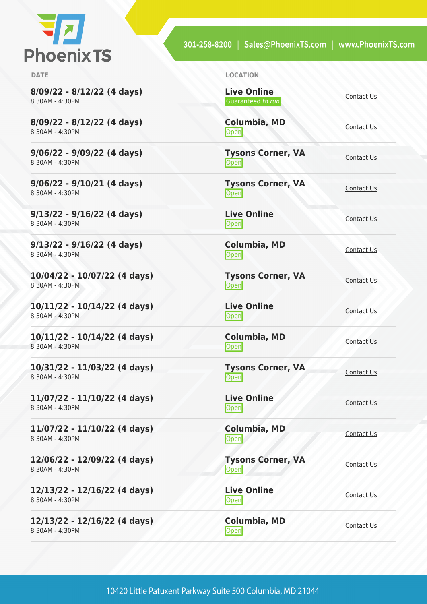

301-258-8200 | Sales@PhoenixTS.com | www.PhoenixTS.com

| <b>DATE</b>                                       | <b>LOCATION</b>                         |                   |
|---------------------------------------------------|-----------------------------------------|-------------------|
| $8/09/22 - 8/12/22$ (4 days)<br>8:30AM - 4:30PM   | <b>Live Online</b><br>Guaranteed to run | Contact Us        |
| 8/09/22 - 8/12/22 (4 days)<br>8:30AM - 4:30PM     | Columbia, MD<br>Open                    | Contact Us        |
| $9/06/22 - 9/09/22$ (4 days)<br>8:30AM - 4:30PM   | <b>Tysons Corner, VA</b><br>Open        | Contact Us        |
| $9/06/22 - 9/10/21$ (4 days)<br>8:30AM - 4:30PM   | <b>Tysons Corner, VA</b><br>Open        | Contact Us        |
| $9/13/22 - 9/16/22$ (4 days)<br>8:30AM - 4:30PM   | <b>Live Online</b><br>Open              | Contact Us        |
| $9/13/22 - 9/16/22$ (4 days)<br>8:30AM - 4:30PM   | Columbia, MD<br>Open                    | Contact Us        |
| 10/04/22 - 10/07/22 (4 days)<br>8:30AM - 4:30PM   | <b>Tysons Corner, VA</b><br>Open        | Contact Us        |
| 10/11/22 - 10/14/22 (4 days)<br>8:30AM - 4:30PM   | <b>Live Online</b><br>Open              | Contact Us        |
| $10/11/22 - 10/14/22$ (4 days)<br>8:30AM - 4:30PM | Columbia, MD<br>Open                    | Contact Us        |
| 10/31/22 - 11/03/22 (4 days)<br>8:30AM - 4:30PM   | <b>Tysons Corner, VA</b><br>Open        | Contact Us        |
| 11/07/22 - 11/10/22 (4 days)<br>8:30AM - 4:30PM   | <b>Live Online</b><br>Open              | Contact Us        |
| 11/07/22 - 11/10/22 (4 days)<br>8:30AM - 4:30PM   | Columbia, MD<br>Open                    | <b>Contact Us</b> |
| 12/06/22 - 12/09/22 (4 days)<br>8:30AM - 4:30PM   | <b>Tysons Corner, VA</b><br><b>Open</b> | Contact Us        |
| 12/13/22 - 12/16/22 (4 days)<br>8:30AM - 4:30PM   | <b>Live Online</b><br>Open              | <b>Contact Us</b> |
| 12/13/22 - 12/16/22 (4 days)<br>8:30AM - 4:30PM   | Columbia, MD<br><b>Open</b>             | Contact Us        |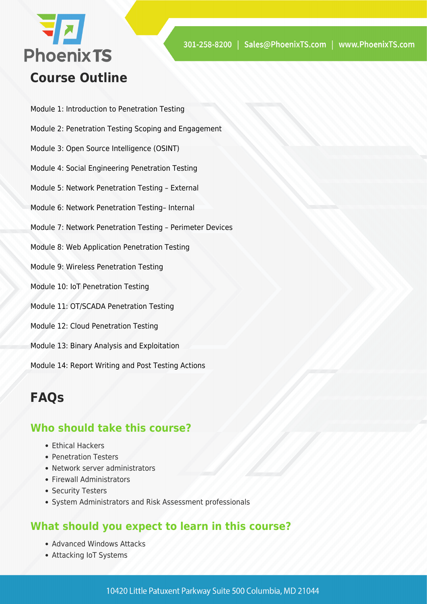

- Module 1: Introduction to Penetration Testing
- Module 2: Penetration Testing Scoping and Engagement
- Module 3: Open Source Intelligence (OSINT)
- Module 4: Social Engineering Penetration Testing
- Module 5: Network Penetration Testing External
- Module 6: Network Penetration Testing– Internal
- Module 7: Network Penetration Testing Perimeter Devices
- Module 8: Web Application Penetration Testing
- Module 9: Wireless Penetration Testing
- Module 10: IoT Penetration Testing
- Module 11: OT/SCADA Penetration Testing
- Module 12: Cloud Penetration Testing
- Module 13: Binary Analysis and Exploitation

Module 14: Report Writing and Post Testing Actions

### **FAQs**

#### **Who should take this course?**

- Ethical Hackers
- Penetration Testers
- Network server administrators
- Firewall Administrators
- Security Testers
- System Administrators and Risk Assessment professionals

#### **What should you expect to learn in this course?**

- Advanced Windows Attacks
- Attacking IoT Systems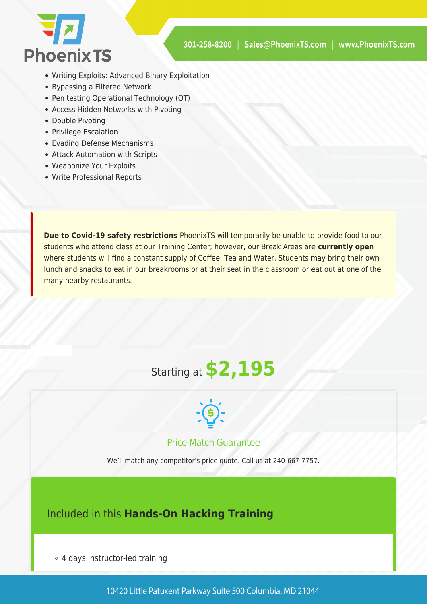

- Writing Exploits: Advanced Binary Exploitation
- Bypassing a Filtered Network
- Pen testing Operational Technology (OT)
- Access Hidden Networks with Pivoting
- Double Pivoting
- Privilege Escalation
- Evading Defense Mechanisms
- Attack Automation with Scripts
- Weaponize Your Exploits
- Write Professional Reports

**Due to Covid-19 safety restrictions** PhoenixTS will temporarily be unable to provide food to our students who attend class at our Training Center; however, our Break Areas are **currently open** where students will find a constant supply of Coffee, Tea and Water. Students may bring their own lunch and snacks to eat in our breakrooms or at their seat in the classroom or eat out at one of the many nearby restaurants.

# Starting at **\$2,195**



Price Match Guarantee

We'll match any competitor's price quote. Call us at 240-667-7757.

#### Included in this **Hands-On Hacking Training**

4 days instructor-led training

10420 Little Patuxent Parkway Suite 500 Columbia, MD 21044